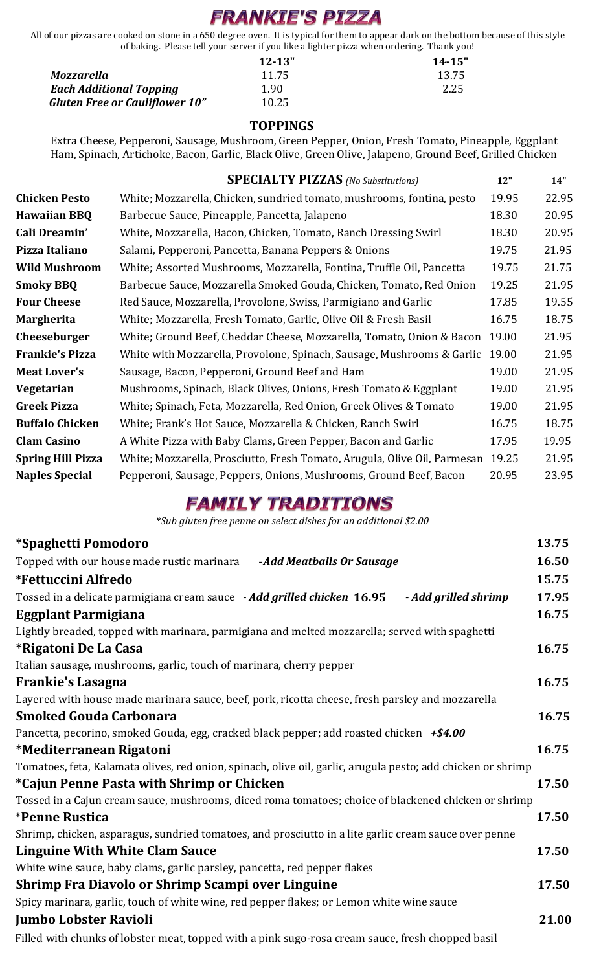# **FRANKIE'S PIZZA**

All of our pizzas are cooked on stone in a 650 degree oven. It is typical for them to appear dark on the bottom because of this style of baking. Please tell your server if you like a lighter pizza when ordering. Thank you!

|                                       | $12 - 13"$ | $14 - 15"$ |
|---------------------------------------|------------|------------|
| Mozzarella                            | 11.75      | 13.75      |
| <b>Each Additional Topping</b>        | 1.90       | 2.25       |
| <b>Gluten Free or Cauliflower 10"</b> | 10.25      |            |

### **TOPPINGS**

Extra Cheese, Pepperoni, Sausage, Mushroom, Green Pepper, Onion, Fresh Tomato, Pineapple, Eggplant Ham, Spinach, Artichoke, Bacon, Garlic, Black Olive, Green Olive, Jalapeno, Ground Beef, Grilled Chicken

|                        | <b>SPECIALTY PIZZAS</b> (No Substitutions)                                   | 12"   | 14"   |
|------------------------|------------------------------------------------------------------------------|-------|-------|
| <b>Chicken Pesto</b>   | White; Mozzarella, Chicken, sundried tomato, mushrooms, fontina, pesto       | 19.95 | 22.95 |
| <b>Hawaiian BBQ</b>    | Barbecue Sauce, Pineapple, Pancetta, Jalapeno                                | 18.30 | 20.95 |
| Cali Dreamin'          | White, Mozzarella, Bacon, Chicken, Tomato, Ranch Dressing Swirl              | 18.30 | 20.95 |
| Pizza Italiano         | Salami, Pepperoni, Pancetta, Banana Peppers & Onions                         | 19.75 | 21.95 |
| <b>Wild Mushroom</b>   | White; Assorted Mushrooms, Mozzarella, Fontina, Truffle Oil, Pancetta        | 19.75 | 21.75 |
| <b>Smoky BBQ</b>       | Barbecue Sauce, Mozzarella Smoked Gouda, Chicken, Tomato, Red Onion          | 19.25 | 21.95 |
| <b>Four Cheese</b>     | Red Sauce, Mozzarella, Provolone, Swiss, Parmigiano and Garlic               | 17.85 | 19.55 |
| Margherita             | White; Mozzarella, Fresh Tomato, Garlic, Olive Oil & Fresh Basil             | 16.75 | 18.75 |
| Cheeseburger           | White; Ground Beef, Cheddar Cheese, Mozzarella, Tomato, Onion & Bacon        | 19.00 | 21.95 |
| Frankie's Pizza        | White with Mozzarella, Provolone, Spinach, Sausage, Mushrooms & Garlic 19.00 |       | 21.95 |
| <b>Meat Lover's</b>    | Sausage, Bacon, Pepperoni, Ground Beef and Ham                               | 19.00 | 21.95 |
| Vegetarian             | Mushrooms, Spinach, Black Olives, Onions, Fresh Tomato & Eggplant            | 19.00 | 21.95 |
| Greek Pizza            | White; Spinach, Feta, Mozzarella, Red Onion, Greek Olives & Tomato           | 19.00 | 21.95 |
| <b>Buffalo Chicken</b> | White; Frank's Hot Sauce, Mozzarella & Chicken, Ranch Swirl                  | 16.75 | 18.75 |
| <b>Clam Casino</b>     | A White Pizza with Baby Clams, Green Pepper, Bacon and Garlic                | 17.95 | 19.95 |
| Spring Hill Pizza      | White; Mozzarella, Prosciutto, Fresh Tomato, Arugula, Olive Oil, Parmesan    | 19.25 | 21.95 |
| <b>Naples Special</b>  | Pepperoni, Sausage, Peppers, Onions, Mushrooms, Ground Beef, Bacon           | 20.95 | 23.95 |

### **FAMILY TRADITIONS**

 *\*Sub gluten free penne on select dishes for an additional \$2.00*

| <i>*Spaghetti Pomodoro</i>                                                                                   | 13.75 |
|--------------------------------------------------------------------------------------------------------------|-------|
| Topped with our house made rustic marinara<br>-Add Meatballs Or Sausage                                      | 16.50 |
| <i><b>*Fettuccini Alfredo</b></i>                                                                            | 15.75 |
| Tossed in a delicate parmigiana cream sauce - Add grilled chicken 16.95<br>- Add grilled shrimp              | 17.95 |
| <b>Eggplant Parmigiana</b>                                                                                   | 16.75 |
| Lightly breaded, topped with marinara, parmigiana and melted mozzarella; served with spaghetti               |       |
| *Rigatoni De La Casa                                                                                         | 16.75 |
| Italian sausage, mushrooms, garlic, touch of marinara, cherry pepper                                         |       |
| <b>Frankie's Lasagna</b>                                                                                     | 16.75 |
| Layered with house made marinara sauce, beef, pork, ricotta cheese, fresh parsley and mozzarella             |       |
| <b>Smoked Gouda Carbonara</b>                                                                                | 16.75 |
| Pancetta, pecorino, smoked Gouda, egg, cracked black pepper; add roasted chicken $+ $4.00$                   |       |
| *Mediterranean Rigatoni                                                                                      | 16.75 |
| Tomatoes, feta, Kalamata olives, red onion, spinach, olive oil, garlic, arugula pesto; add chicken or shrimp |       |
| <i>*Cajun Penne Pasta with Shrimp or Chicken</i>                                                             | 17.50 |
| Tossed in a Cajun cream sauce, mushrooms, diced roma tomatoes; choice of blackened chicken or shrimp         |       |
| <i><b>*Penne Rustica</b></i>                                                                                 | 17.50 |
| Shrimp, chicken, asparagus, sundried tomatoes, and prosciutto in a lite garlic cream sauce over penne        |       |
| <b>Linguine With White Clam Sauce</b>                                                                        | 17.50 |
| White wine sauce, baby clams, garlic parsley, pancetta, red pepper flakes                                    |       |
| Shrimp Fra Diavolo or Shrimp Scampi over Linguine                                                            | 17.50 |
| Spicy marinara, garlic, touch of white wine, red pepper flakes; or Lemon white wine sauce                    |       |
| <b>Jumbo Lobster Ravioli</b>                                                                                 | 21.00 |
| Filled with chunks of lobster meat, topped with a pink sugo-rosa cream sauce, fresh chopped basil            |       |